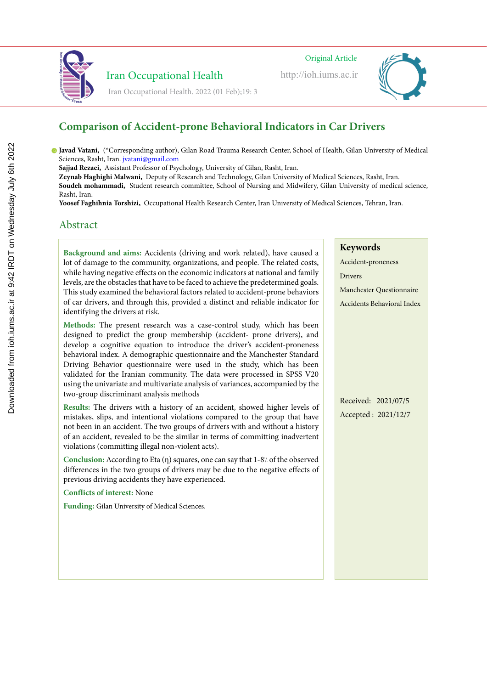

http://ioh.iums.ac.ir



#### **Comparison of Accident-prone Behavioral Indicators in Car Drivers Lighting and color temperature assessment in the office workplaces and relativisual different facturelli-Lighting and color temperature assessment in the office workplaces and relatively to the visual factor of the visual factor of the visual factor of the visual factor of the visual factor**

Javad Vatani, (\*Corresponding author), Gilan Road Trauma Research Center, School of Health, Gilan University of Medical Sciences, Rasht, Iran. jvatani@gmail.com Center for Health Sciences Research, Hamedan University of Medical Sciences, Hamedan, Iran. golmohamadi@umsha.ac.ir

sciences, <del>Rasnt, Iran. Jvatani@gmail.com</del><br>**Sajjad Rezaei,** Assistant Professor of Psychology, University of Gilan, Rasht, Iran. **Jjad Rezaei,** Assistant Professor of Psychology, University of Gilan, Rasht, Iran. **IJad Rezaei,** Assistant Professor of Psychology, University of Gilan, Rasht, Iran.

Iran Occupational Health. 2022 (01 Feb);19:3

Iran Occupational Health

**Zeynab Haghighi Malwani,** Deputy of Research and Technology, Gilan University of Medical Sciences, Rasht, Iran. Soudeh mohammadi, Student research committee, School of Nursing and Midwifery, Gilan University of medical science, Rasht, Iran.

Yoosef Faghihnia Torshizi, Occupational Health Research Center, Iran University of Medical Sciences, Tehran, Iran.  $M_{\odot}$  and  $M_{\odot}$  sciences,  $M_{\odot}$ **Josef Faghihnia Torshizi**, Occupational Health Research Center, Iran University of Medical Sciences, Tehran, Iran  $\mathcal{S}$ 

# Abstract Abstract

Abstract

lot of damage to the community, organizations, and people. The related costs, while having negative effects on the economic indicators at national and family levels, are the obstacles that have to be faced to achieve the predetermined goals. This study examined the behavioral factors related to accident-prone behaviors ims study examined the penavioral factors related to accident prone behaviors of different places, especially places, especially places, especially places, especially places, especially places, especially places, especiall the car drivers, and through this, provided a distinct and renable indicator for identifying the drivers at risk. ims study examined the perfection ractions related to accruent prone behaviors of  $\ell = 1 + \ell = 1 + \ell = 1 + \ell = 1 + \ell = 1 + \ell = 1 + \ell = 1 + \ell = 1 + \ell = 1 + \ell = 1 + \ell = 1 + \ell = 1 + \ell = 1 + \ell = 1 + \ell = 1 + \ell = 1 + \ell = 1 + \ell = 1 + \ell = 1 + \ell = 1 + \ell = 1 + \ell = 1 + \ell = 1 + \$ of car drivers, and through this, provided a distinct and reliable indicator for **Background and aims:** Accidents (driving and work related), have caused a

Methods: The present research was a case-control study, which has been designed to predict the group membership (accident- prone drivers), and develop a cognitive equation to introduce the driver's accident-proneness maintain and enhance the health of employees. The quality and quality of lighting and quality of lighting and  $\frac{1}{2}$ enavioral index. A demographic questionnaire and the Manchester Standard Driving Behavior questionnaire were used in the study, which has been validated for the Iranian community. The data were processed in SPSS V20 using the univariate and multivariate analysis of variances, accompanied by the two-group discriminant analysis methods **correlates** matricip a cognitive equation to introduce the urivers accident-proficiness. behavioral index. A demographic questionnaire and the Manchester Standard

Studies have proven that different CCT provided by different lighting are important  $\epsilon$ esuits: The drivers with a history of an accident, showed higher levels of mistakes, slips, and intentional violations compared to the group that have not been in an accident. The two groups of drivers with and without a history of an accident, revealed to be the similar in terms of committing inadvertent violations (committing illegal non-violent acts). Studies have proven that different CCT provided by different lighting are important Results: The drivers with a history of an accident, showed higher levels of

on visual and mental fatigue. The right selection of CCT in an office environment Lonciusion: According to Eta (η) squares, one can say that 1-8/. of the observed differences in the two groups of drivers may be due to the negative effects of previous driving accidents they have experienced. on visual and mental fatigue. The right selection of  $C$ **Conclusion:** According to Eta (η) squares, one can say that 1-8/ of the observed

disorders in long term. The aim of this study was to evaluate the illumination and disorders in long term. The aim of this study was to evaluate the illumination and **Conflicts of interest:** None colorite and its relationship with visual components of interests in administrative state  $\frac{1}{2}$ colorities of interest. From

Funding: Gilan University of Medical Sciences.

**Keywords**

**Keywords Keywords** Accident-proneness Drivers Color Temperature Color Temperature Visual Fatigue Visual Fatigue Manchester Questionnaire Accidents Behavioral Index

Received: 2021/07/5 Accepted: 2021/12/7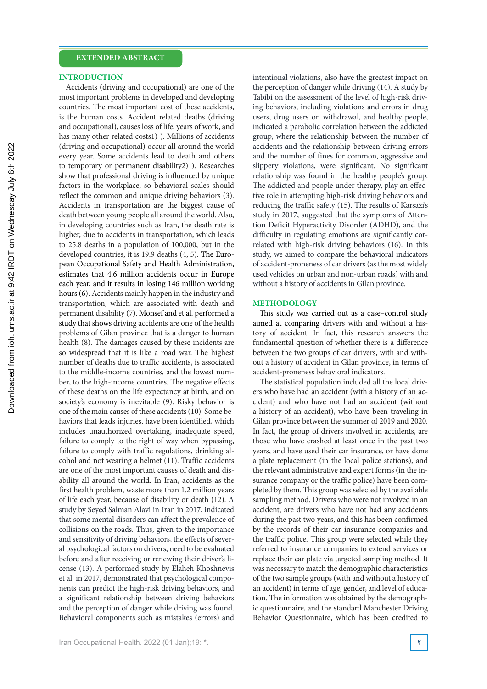#### **INTRODUCTION**

Accidents (driving and occupational) are one of the most important problems in developed and developing countries. The most important cost of these accidents, is the human costs. Accident related deaths (driving and occupational), causes loss of life, years of work, and has many other related costs1) ). Millions of accidents (driving and occupational) occur all around the world every year. Some accidents lead to death and others to temporary or permanent disability2) ). Researches show that professional driving is influenced by unique factors in the workplace, so behavioral scales should reflect the common and unique driving behaviors (3). Accidents in transportation are the biggest cause of death between young people all around the world. Also, in developing countries such as Iran, the death rate is higher, due to accidents in transportation, which leads to 25.8 deaths in a population of 100,000, but in the developed countries, it is 19.9 deaths (4, 5). The European Occupational Safety and Health Administration, estimates that 4.6 million accidents occur in Europe each year, and it results in losing 146 million working hours (6). Accidents mainly happen in the industry and transportation, which are associated with death and permanent disability (7). Monsef and et al. performed a study that shows driving accidents are one of the health problems of Gilan province that is a danger to human health (8). The damages caused by these incidents are so widespread that it is like a road war. The highest number of deaths due to traffic accidents, is associated to the middle-income countries, and the lowest number, to the high-income countries. The negative effects of these deaths on the life expectancy at birth, and on society's economy is inevitable (9). Risky behavior is one of the main causes of these accidents (10). Some behaviors that leads injuries, have been identified, which includes unauthorized overtaking, inadequate speed, failure to comply to the right of way when bypassing, failure to comply with traffic regulations, drinking alcohol and not wearing a helmet (11). Traffic accidents are one of the most important causes of death and disability all around the world. In Iran, accidents as the first health problem, waste more than 1.2 million years of life each year, because of disability or death (12). A study by Seyed Salman Alavi in Iran in 2017, indicated that some mental disorders can affect the prevalence of collisions on the roads. Thus, given to the importance and sensitivity of driving behaviors, the effects of several psychological factors on drivers, need to be evaluated before and after receiving or renewing their driver's license (13). A performed study by Elaheh Khoshnevis et al. in 2017, demonstrated that psychological components can predict the high-risk driving behaviors, and a significant relationship between driving behaviors and the perception of danger while driving was found. Behavioral components such as mistakes (errors) and

intentional violations, also have the greatest impact on the perception of danger while driving (14). A study by Tabibi on the assessment of the level of high-risk driving behaviors, including violations and errors in drug users, drug users on withdrawal, and healthy people, indicated a parabolic correlation between the addicted group, where the relationship between the number of accidents and the relationship between driving errors and the number of fines for common, aggressive and slippery violations, were significant. No significant relationship was found in the healthy people's group. The addicted and people under therapy, play an effective role in attempting high-risk driving behaviors and reducing the traffic safety (15). The results of Karsazi's study in 2017, suggested that the symptoms of Attention Deficit Hyperactivity Disorder (ADHD), and the difficulty in regulating emotions are significantly correlated with high-risk driving behaviors (16). In this study, we aimed to compare the behavioral indicators of accident-proneness of car drivers (as the most widely used vehicles on urban and non-urban roads) with and without a history of accidents in Gilan province.

#### **METHODOLOGY**

This study was carried out as a case–control study aimed at comparing drivers with and without a history of accident. In fact, this research answers the fundamental question of whether there is a difference between the two groups of car drivers, with and without a history of accident in Gilan province, in terms of accident-proneness behavioral indicators.

The statistical population included all the local drivers who have had an accident (with a history of an accident) and who have not had an accident (without a history of an accident), who have been traveling in Gilan province between the summer of 2019 and 2020. In fact, the group of drivers involved in accidents, are those who have crashed at least once in the past two years, and have used their car insurance, or have done a plate replacement (in the local police stations), and the relevant administrative and expert forms (in the insurance company or the traffic police) have been completed by them. This group was selected by the available sampling method. Drivers who were not involved in an accident, are drivers who have not had any accidents during the past two years, and this has been confirmed by the records of their car insurance companies and the traffic police. This group were selected while they referred to insurance companies to extend services or replace their car plate via targeted sampling method. It was necessary to match the demographic characteristics of the two sample groups (with and without a history of an accident) in terms of age, gender, and level of education. The information was obtained by the demographic questionnaire, and the standard Manchester Driving Behavior Questionnaire, which has been credited to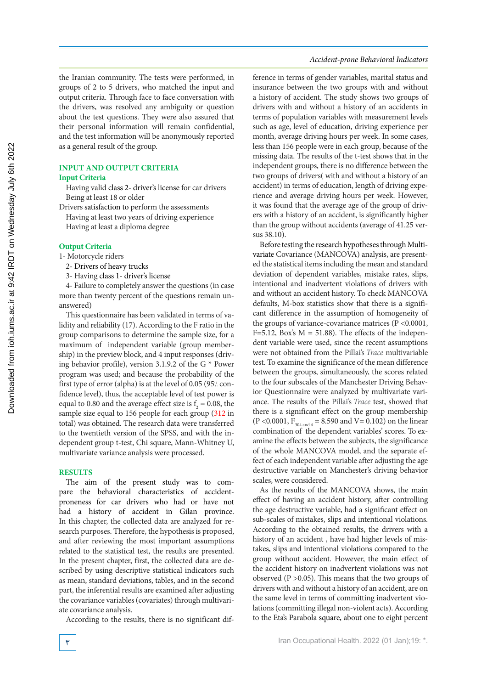the Iranian community. The tests were performed, in groups of 2 to 5 drivers, who matched the input and output criteria. Through face to face conversation with the drivers, was resolved any ambiguity or question about the test questions. They were also assured that their personal information will remain confidential, and the test information will be anonymously reported as a general result of the group.

### **INPUT AND OUTPUT CRITERIA**

### **Input Criteria**

Having valid class 2- driver's license for car drivers Being at least 18 or older

Drivers satisfaction to perform the assessments

Having at least two years of driving experience Having at least a diploma degree

#### **Output Criteria**

1- Motorcycle riders

- 2- Drivers of heavy trucks
- 3- Having class 1- driver's license

4- Failure to completely answer the questions (in case more than twenty percent of the questions remain unanswered)

This questionnaire has been validated in terms of validity and reliability (17). According to the F ratio in the group comparisons to determine the sample size, for a maximum of independent variable (group membership) in the preview block, and 4 input responses (driving behavior profile), version 3.1.9.2 of the G \* Power program was used; and because the probability of the first type of error (alpha) is at the level of 0.05 (95% confidence level), thus, the acceptable level of test power is equal to 0.80 and the average effect size is  $f_2 = 0.08$ , the sample size equal to 156 people for each group (312 in total) was obtained. The research data were transferred to the twentieth version of the SPSS, and with the independent group t-test, Chi square, Mann-Whitney U, multivariate variance analysis were processed.

#### **RESULTS**

The aim of the present study was to compare the behavioral characteristics of accidentproneness for car drivers who had or have not had a history of accident in Gilan province. In this chapter, the collected data are analyzed for research purposes. Therefore, the hypothesis is proposed, and after reviewing the most important assumptions related to the statistical test, the results are presented. In the present chapter, first, the collected data are described by using descriptive statistical indicators such as mean, standard deviations, tables, and in the second part, the inferential results are examined after adjusting the covariance variables (covariates) through multivariate covariance analysis.

According to the results, there is no significant dif-

#### *Accident-prone Behavioral Indicators*

ference in terms of gender variables, marital status and insurance between the two groups with and without a history of accident. The study shows two groups of drivers with and without a history of an accidents in terms of population variables with measurement levels such as age, level of education, driving experience per month, average driving hours per week. In some cases, less than 156 people were in each group, because of the missing data. The results of the t-test shows that in the independent groups, there is no difference between the two groups of drivers( with and without a history of an accident) in terms of education, length of driving experience and average driving hours per week. However, it was found that the average age of the group of drivers with a history of an accident, is significantly higher than the group without accidents (average of 41.25 versus 38.10).

Before testing the research hypotheses through Multivariate Covariance (MANCOVA) analysis, are presented the statistical items including the mean and standard deviation of dependent variables, mistake rates, slips, intentional and inadvertent violations of drivers with and without an accident history. To check MANCOVA defaults, M-box statistics show that there is a significant difference in the assumption of homogeneity of the groups of variance-covariance matrices (P <0.0001, F=5.12, Box's  $M = 51.88$ ). The effects of the independent variable were used, since the recent assumptions were not obtained from the Pillai's *Trace* multivariable test. To examine the significance of the mean difference between the groups, simultaneously, the scores related to the four subscales of the Manchester Driving Behavior Questionnaire were analyzed by multivariate variance. The results of the Pillai's *Trace* test, showed that there is a significant effect on the group membership  $(P < 0.0001, F<sub>304 and 4</sub> = 8.590 and V = 0.102)$  on the linear combination of the dependent variables' scores. To examine the effects between the subjects, the significance of the whole MANCOVA model, and the separate effect of each independent variable after adjusting the age destructive variable on Manchester's driving behavior scales, were considered.

As the results of the MANCOVA shows, the main effect of having an accident history, after controlling the age destructive variable, had a significant effect on sub-scales of mistakes, slips and intentional violations. According to the obtained results, the drivers with a history of an accident , have had higher levels of mistakes, slips and intentional violations compared to the group without accident. However, the main effect of the accident history on inadvertent violations was not observed  $(P > 0.05)$ . This means that the two groups of drivers with and without a history of an accident, are on the same level in terms of committing inadvertent violations (committing illegal non-violent acts). According to the Eta's Parabola square, about one to eight percent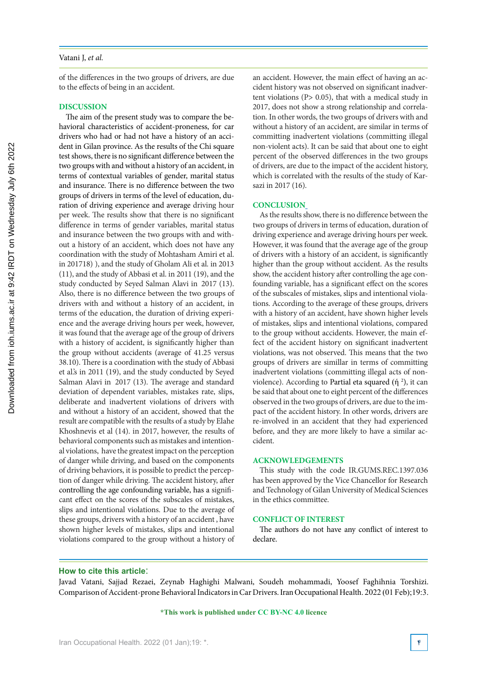#### Vatani J, *et al.*

of the differences in the two groups of drivers, are due to the effects of being in an accident.

#### **DISCUSSION**

The aim of the present study was to compare the behavioral characteristics of accident-proneness, for car drivers who had or had not have a history of an accident in Gilan province. As the results of the Chi square test shows, there is no significant difference between the two groups with and without a history of an accident, in terms of contextual variables of gender, marital status and insurance. There is no difference between the two groups of drivers in terms of the level of education, duration of driving experience and average driving hour per week. The results show that there is no significant difference in terms of gender variables, marital status and insurance between the two groups with and without a history of an accident, which does not have any coordination with the study of Mohtasham Amiri et al. in 201718), and the study of Gholam Ali et al. in 2013 (11), and the study of Abbasi et al. in 2011 (19), and the study conducted by Seyed Salman Alavi in 2017 (13). Also, there is no difference between the two groups of drivers with and without a history of an accident, in terms of the education, the duration of driving experience and the average driving hours per week, however, it was found that the average age of the group of drivers with a history of accident, is significantly higher than the group without accidents (average of 41.25 versus 38.10). There is a coordination with the study of Abbasi et al.'s in 2011 (19), and the study conducted by Seyed Salman Alavi in 2017 (13). The average and standard deviation of dependent variables, mistakes rate, slips, deliberate and inadvertent violations of drivers with and without a history of an accident, showed that the result are compatible with the results of a study by Elahe Khoshnevis et al (14). in 2017, however, the results of behavioral components such as mistakes and intentional violations, have the greatest impact on the perception of danger while driving, and based on the components of driving behaviors, it is possible to predict the perception of danger while driving. The accident history, after controlling the age confounding variable, has a significant effect on the scores of the subscales of mistakes, slips and intentional violations. Due to the average of these groups, drivers with a history of an accident , have shown higher levels of mistakes, slips and intentional violations compared to the group without a history of

an accident. However, the main effect of having an accident history was not observed on significant inadvertent violations (P> 0.05), that with a medical study in 2017, does not show a strong relationship and correlation. In other words, the two groups of drivers with and without a history of an accident, are similar in terms of committing inadvertent violations (committing illegal non-violent acts). It can be said that about one to eight percent of the observed differences in the two groups of drivers, are due to the impact of the accident history, which is correlated with the results of the study of Karsazi in 2017 (16).

### **CONCLUSION**

As the results show, there is no difference between the two groups of drivers in terms of education, duration of driving experience and average driving hours per week. However, it was found that the average age of the group of drivers with a history of an accident, is significantly higher than the group without accident. As the results show, the accident history after controlling the age confounding variable, has a significant effect on the scores of the subscales of mistakes, slips and intentional violations. According to the average of these groups, drivers with a history of an accident, have shown higher levels of mistakes, slips and intentional violations, compared to the group without accidents. However, the main effect of the accident history on significant inadvertent violations, was not observed. This means that the two groups of drivers are simillar in terms of committing inadvertent violations (committing illegal acts of nonviolence). According to Partial eta squared  $(\eta^2)$ , it can be said that about one to eight percent of the differences observed in the two groups of drivers, are due to the impact of the accident history. In other words, drivers are re-involved in an accident that they had experienced before, and they are more likely to have a similar accident.

#### **ACKNOWLEDGEMENTS**

This study with the code IR.GUMS.REC.1397.036 has been approved by the Vice Chancellor for Research and Technology of Gilan University of Medical Sciences in the ethics committee.

#### **CONFLICT OF INTEREST**

The authors do not have any conflict of interest to declare.

#### **How to cite this article**:

Javad Vatani, Sajjad Rezaei, Zeynab Haghighi Malwani, Soudeh mohammadi, Yoosef Faghihnia Torshizi. Comparison of Accident-prone Behavioral Indicators in Car Drivers. Iran Occupational Health. 2022 (01 Feb);19:3.

#### **\*This work is published under CC BY-NC 4.0 licence**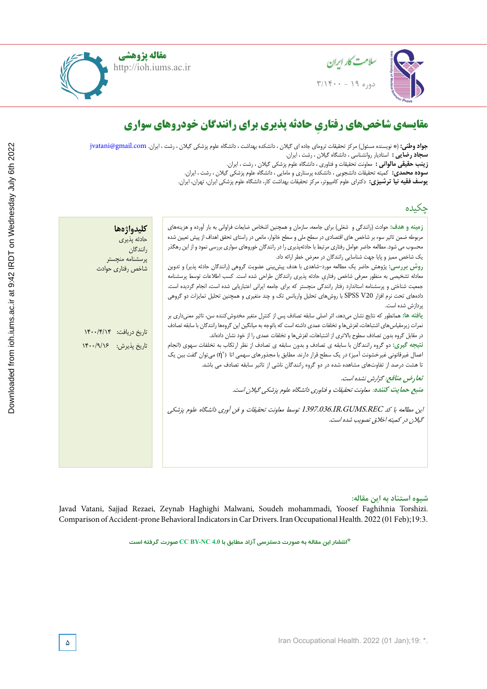

**Javad Fardmal,** Professor, Associate Professor, Department of Biostatistics, School of Health, Hamadan University of

sleepiness. Studies have shown that insufficient and uncomfortable lightning

**مقاله پژوهشی** http://ioh.iums.ac.ir



# **Lighting and color temperature assessment in the office workplaces and relationship to visual fatigue مقایسهی شاخص ِ های رفتاری حادثه پذیری برای رانندگان خودروهای سواری**

**Rostam Golmohammadi,** (\*Corresponding author), Professor, Department of Occupational Health, School of Health and ID **سجاد رضایی :** استادیار روانشناسی ، دانشگاه گیالن ، رشت ، ایران. **جواد وطنی:** (\* نویسنده مسئول) مرکز تحقیقات ترومای جاده ای گیلان ، دانشکده بهداشت ، دانشگاه علوم پزشکی گیلان ، رشت ، ایران. jvatani@gmail.com

 $\overline{\phantom{a}}\phantom{a}8.8$ **Zahra Pirmoradi,** MSc, Department of Occupational Hygiene, School of Health, Hamadan University of Medical Sciences, **زینب حقیقی مالوانی :** معاونت تحقیقات و فناوری ، دانشگاه علوم پزشکی گیالن ، رشت ، ایران.

**سوده محمدی:** کمیته تحقیقات دانشجویی ، دانشکده پرستاری و مامایی ، دانشگاه علوم پزشکی گیلان ، رشت ، ایران.<br>نموذه محمدی: کمیته شدن کردن و ایران کارون میکند و تقاومت از مکارمان گیلان میکند و ایران میدان

**Majid Motamedzadeh Torghabeh,** Professor, Department of Ergonomics, School of Health, Hamadan University of **یوسف فقیه نیا ترشیزی:** دکترای علوم کامپیوتر، مرکز تحقیقات بهداشت کار، دانشگاه علوم پزشکی ایران، تهران، ایران.

| چکىدە                                                                                                                                                                                                                                                                                                                                                                                                                                                                                                                                                                                                                                                                                                                                                                                                                                                                                                                                                            |
|------------------------------------------------------------------------------------------------------------------------------------------------------------------------------------------------------------------------------------------------------------------------------------------------------------------------------------------------------------------------------------------------------------------------------------------------------------------------------------------------------------------------------------------------------------------------------------------------------------------------------------------------------------------------------------------------------------------------------------------------------------------------------------------------------------------------------------------------------------------------------------------------------------------------------------------------------------------|
| <b>زمینه و هدف:</b> حوادث (رانندگی و  شغلی) برای جامعه، سازمان و همچنین اشخاص ضایعات فراوانی به بار اَورده و هزینههای<br>كليدواژهها<br>مربوطه ضمن تاثیر سوء بر شاخص های اقتصادی در سطح ملی و سطح خانوار، مانعی در راستای تحقق اهداف از پیش تعیین شده<br>حادثه پذیری<br>محسوب می شود. مطالعه حاضر عوامل رفتاری مرتبط با حادثهپذیری را در رانندگان خوروهای سواری بررسی نمود و از این رهگذر<br>رانندگان<br>یک شاخص ممیز و پایا جهت شناسایی رانندگان در معرض خطر ارائه داد.<br>پرسشنامه منچستر<br>روش بررسی: پژوهش حاضر یک مطالعه مورد–شاهدی با هدف پیش بینی عضویت گروهی (رانندگان حادثه پذیر) و تدوین<br>شاخص رفتاري حوادث<br>معادله تشخیصی به منظور معرفی شاخص رفتاری حادثه پذیری رانندگان طراحی شده است. کسب اطلاعات توسط پرسشنامه<br>جمعیت شناختی و پرسشنامه استاندارد رفتار رانندگی منچستر که برای جامعه ایرانی اعتباریابی شده است، انجام گردیده است.<br>دادههای تحت نرم افزار SPSS V20 با روشهای تحلیل واریانس تک و چند متغیری و همچنین تحلیل تمایزات دو گروهی |
| یردازش شده است.<br>یافته ها: همانطور که نتایج نشان میدهد، اثر اصلی سابقه تصادف پس از کنترل متغیر مخدوشکننده سن، تاثیر معنیداری بر<br>نمرات زیرمقیاس های اشتباهات، لغزش ها و تخلفات عمدی داشته است که باتوجه به میانگین این گروهها رانندگان با سابقه تصادف<br>تاريخ دريافت: ١۴٠٠/۴/١۴<br>در مقابل گروه بدون تصادف سطوح بالاتری از اشتباهات، لغزشها و تخلفات عمدی را از خود نشان دادهاند.<br><b>نتیجه گیری:</b> دو گروه رانندگان با سابقه ی تصادف و بدون سابقه ی تصادف از نظر ارتکاب به تخلفات سهوی (انجام<br>تاريخ پذيرش: ١۴٠٠/٩/١۶<br>اعمال غیرقانونی غیرخشونت آمیز) در یک سطح قرار دارند. مطابق با مجذورهای سهمی اتا ( \'n) میتوان گفت بین یک<br>تا هشت درصد از تفاوتهای مشاهده شده در دو گروه رانندگان ناشی از تاثیر سابقه تصادف می باشد.                                                                                                                                                                                                                      |
| تعارض منافع: گزارش نشده است.<br>منبع حمايت كننده: معاونت تحقيقات و فناوري دانشگاه علوم پزشكي گيلان است.                                                                                                                                                                                                                                                                                                                                                                                                                                                                                                                                                                                                                                                                                                                                                                                                                                                          |
| این مطالعه با کد 1397.036.IR.GUMS.REC توسط معاونت تحقیقات و فن آوری دانشگاه علوم پزشکی                                                                                                                                                                                                                                                                                                                                                                                                                                                                                                                                                                                                                                                                                                                                                                                                                                                                           |

## شیوه استناد به این مقاله:

Hamadan city (west of Iran). Javad Vatani, Sajjad Rezaei, Zeynab Haghighi Malwani, Soudeh mohammadi, Yoosef Faghihnia Torshizi.  $M_{\odot}$  Total study was conducted in  $5.1 \times 10^{-2}$  $F(0), 19.5.$ Comparison of Accident-prone Behavioral Indicators in Car Drivers. Iran Occupational Health. 2022 (01 Feb);19:3.

**\*انتشار این مقاله به صورت دسترسی آزاد مطابق با 4.0 NC-BY CC صورت گرفته است**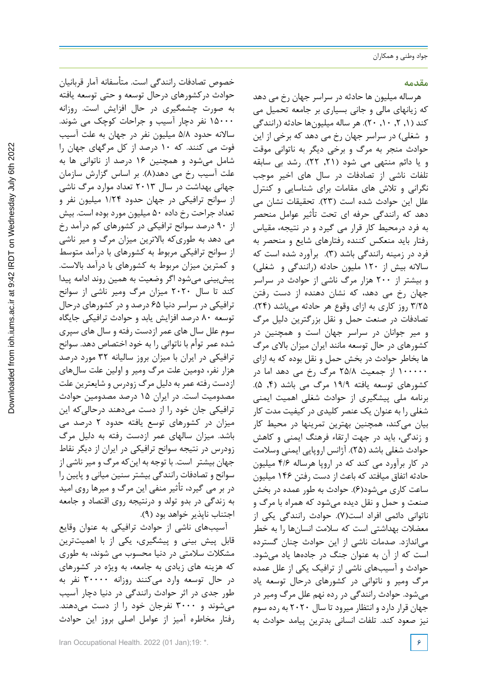### **مقدمه**

هرساله میلیون ها حادثه در سراسر جهان رخ می دهد که زیانهای مالی و جانی بسیاری بر جامعه تحمیل می کند (۱, ۲, ۱۰, ۲۰). هر ساله ميليونها حادثه (رانندگی و شغلي) در سراسر جهان رخ مي دهد كه برخي از اين حوادث منجر به مرگ و برخي ديگر به ناتواني موقت و یا دائم منتهي مي شود ),21 22(. رشد بی سابقه تلفات ناشی از تصادفات در سال های اخیر موجب نگرانی و تالش های مقامات برای شناسایی و کنترل علل این حوادث شده است )23(. تحقیقات نشان می دهد که رانندگی حرفه ای تحت تأثیر عوامل منحصر به فرد درمحیط کار قرار می گیرد و در نتیجه، مقیاس رفتار باید منعکس کننده رفتارهای شایع و منحصر به فرد در زمینه رانندگی باشد )3(. برآورد شده است كه سالانه بیش از ۱۲۰ ملیون حادثه (رانندگی و شغلی) و بيشتر از 200 هزار مرگ ناشي از حوادث در سراسر جهان رخ مي دهد، که نشان دهنده از دست رفتن 3/25 روز كاري به ازاي وقوع هر حادثه ميباشد )24(. تصادفات در صنعت حمل و نقل بزرگترين دليل مرگ و مير جوانان در سراسر جهان است و همچنين در كشورهاي در حال توسعه مانند ايران ميزان باالي مرگ ها بخاطر حوادث در بخش حمل و نقل بوده كه به ازاي 100000 از جمعيت 25/8 مرگ رخ مي دهد اما در كشورهاي توسعه يافته ١٩/٩ مرگ مي باشد (۴, ۵). برنامه ملی پیشگیری از حوادث شغلی اهمیت ایمنی شغلی را به عنوان یک عنصر کلیدی در کیفیت مدت کار بیان میکند، همچنین بهترین تمرینها در محیط کار و زندگی، باید در جهت ارتقاء فرهنگ ایمنی و کاهش حوادث شغلی باشد )25(. آژانس اروپایی ایمنی وسالمت در کار برآورد می کند که در اروپا هرساله 4/6 میلیون حادثه اتفاق میافتد که باعث از دست رفتن 146 میلیون ساعت کاری میشود)6(. حوادث به طور عمده در بخش صنعت و حمل و نقل دیده میشود که همراه با مرگ و ناتوانی دائمی افراد است)7(. حوادث رانندگی یکی از معضالت بهداشتی است که سالمت انسانها را به خطر میاندازد. صدمات ناشی از این حوادث چنان گسترده است که از آن به عنوان جنگ در جادهها یاد میشود. حوادث و آسیبهای ناشی از ترافیک یکی از علل عمده مرگ ومیر و ناتوانی در کشورهای درحال توسعه یاد میشود. حوادث رانندگی در رده نهم علل مرگ ومیر در جهان قرار دارد و انتظار میرود تا سال 2020 به رده سوم نیز صعود کند. تلفات انسانی بدترین پیامد حوادث به

خصوص تصادفات رانندگی است. متأسفانه آمار قربانیان حوادث درکشورهای درحال توسعه و حتی توسعه یافته به صورت چشمگیری در حال افزایش است. روزانه 15000 نفر دچار آسیب و جراحات کوچک می شوند. ساالنه حدود 5/8 میلیون نفر در جهان به علت آسیب فوت می کنند. که 10 درصد از کل مرگهای جهان را شامل میشود و همچنین 16 درصد از ناتوانی ها به علت آسیب رخ می دهد(۸). بر اساس گزارش سازمان جهانی بهداشت در سال 2013 تعداد موارد مرگ ناشی از سوانح ترافیکی در جهان حدود 1/24 ميليون نفر و تعداد جراحت رخ داده 50 ميليون مورد بوده است. بیش از 90 درصد سوانح ترافیکی در کشورهای کم درآمد رخ می دهد به طوریکه باالترین میزان مرگ و میر ناشی از سوانح ترافیکی مربوط به کشورهای با درآمد متوسط و کمترین میزان مربوط به کشورهای با درآمد باالست. پیشبینی میشود اگر وضعیت به همین روند ادامه پیدا کند تا سال 2020 میزان مرگ ومیر ناشی از سوانح ترافیکی در سراسر دنیا 65 درصد و در کشورهای درحال توسعه 80 درصد افزایش یابد و حوادث ترافیکی جایگاه سوم علل سال های عمر ازدست رفته و سال های سپری شده عمر توأم با ناتوانی را به خود اختصاص دهد. سوانح ترافيكي در ايران با ميزان بروز ساليانه 32 مورد درصد هزار نفر، دومين علت مرگ ومیر و اولين علت سالهای ازدست رفته عمر به دليل مرگ زودرس و شایعترین علت مصدوميت است. در ایران 15 درصد مصدومین حوادث ترافیکی جان خود را از دست میدهند درحالیکه این میزان در کشورهای توسع یافته حدود 2 درصد می باشد. ميزان سالهای عمر ازدست رفته به دليل مرگ زودرس در نتیجه سوانح ترافيكي در ايران از دیگر نقاط جهان بیشتر است. با توجه به اینکه مرگ و میر ناشي از سوانح و تصادفات رانندگي بيشتر سنين مياني و پايين را در بر می گیرد، تأثير منفي اين مرگ و میرها روي اميد به زندگي در بدو تولد و درنتیجه روي اقتصاد و جامعه اجتناب ناپذیر خواهد بود )9(.

آسیبهای ناشی از حوادث ترافیکی به عنوان وقایع قابل پیش بینی و پیشگیری، یکی از با اهمیتترین مشکالت سالمتی در دنیا محسوب می شوند، به طوری که هزینه های زیادی به جامعه، به ویژه در کشورهای در حال توسعه وارد میکنند روزانه 30000 نفر به طور جدی در اثر حوادث رانندگی در دنیا دچار آسیب میشوند و 3000 نفرجان خود را از دست میدهند. رفتار مخاطره آمیز از عوامل اصلی بروز این حوادث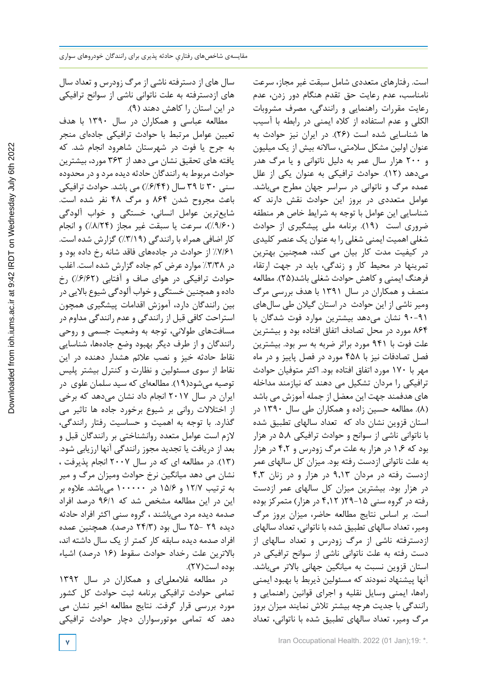سال های از دسترفته ناشی از مرگ زودرس و تعداد سال های ازدسترفته به علت ناتوانی ناشی از سوانح ترافیکی در این استان را کاهش دهند )9(.

مطالعه عباسی و همکاران در سال 1390 با هدف تعیین عوامل مرتبط با حوادث ترافیکی جادهاي منجر به جرح یا فوت در شهرستان شاهرود انجام شد. که یافته های تحقیق نشان می دهد از 363 مورد، بیشترین حوادث مربوط به رانندگان حادثه دیده مرد و در محدوده سنی ٣٠ تا ٣٩ سال (۶/۴۴٪) می باشد. حوادث ترافيکي باعث مجروح شدن 864 و مرگ 48 نفر شده است. شايعترين عوامل انساني، خستگي و خواب آلودگي )%9/60(، سرعت يا سبقت غير مجاز )%8/24( و انجام کار اضافي همراه با رانندگي )%3/19( گزارش شده است. %7/61 از حوادث در جادههای فاقد شانه رخ داده بود و در %3/38 موارد عرض کم جاده گزارش شده است. اغلب حوادث ترافیکی در هوای صاف و آفتابی )%6/62( رخ داده و همچنین خستگی و خواب آلودگی شیوع باالیی در بین رانندگان دارد، آموزش اقدامات پیشگیری همچون استراحت کافی قبل از رانندگی و عدم رانندگی مداوم در مسافتهای طوالنی، توجه به وضعیت جسمی و روحی رانندگان و از طرف دیگر بهبود وضع جادهها، شناسایی نقاط حادثه خیز و نصب عالئم هشدار دهنده در این نقاط از سوی مسئولین و نظارت و کنترل بیشتر پلیس توصیه میشود)19(. مطالعهای که سید سلمان علوی در ایران در سال 2017 انجام داد نشان میدهد که برخی از اختالالت روانی بر شیوع برخورد جاده ها تاثیر می گذارد. با توجه به اهمیت و حساسیت رفتار رانندگی، الزم است عوامل متعدد روانشناختی بر رانندگان قبل و بعد از دریافت یا تجدید مجوز رانندگی آنها ارزیابی شود. )13(. در مطالعه ای که در سال 2007 انجام پذیرفت ، نشان می دهد میانگین نرخ حوادث ومیزان مرگ و میر به ترتیب 12/7 و 15/6 در 100000 میباشد. عالوه بر این در این مطالعه مشخص شد که 96/1 درصد افراد صدمه دیده مرد میباشند ، گروه سنی اکثر افراد حادثه دیده 29 25- سال بود )24/3 درصد(. همچنین عمده افراد صدمه دیده سابقه کار کمتر از یک سال داشته اند، بالاترین علت رخداد حوادث سقوط (۱۶ درصد) اشیاء بوده است)27(.

در مطالعه غالمعلیای و همکاران در سال 1392 تمامی حوادث ترافیکی برنامه ثبت حوادث کل کشور مورد بررسی قرار گرفت. نتایج مطالعه اخیر نشان می دهد که تمامی موتورسواران دچار حوادث ترافیکی

است. رفتارهای متعددی شامل سبقت غیر مجاز، سرعت نامناسب، عدم رعایت حق تقدم هنگام دور زدن، عدم رعایت مقررات راهنمایی و رانندگی، مصرف مشروبات الکلی و عدم استفاده از کاله ایمنی در رابطه با آسیب ها شناسایی شده است )26(. در ايران نیز حوادث به عنوان اولين مشكل سالمتی، ساالنه بيش از یک میلیون و 200 هزار سال عمر به دليل ناتواني و يا مرگ هدر میدهد )12(. حوادث ترافیکی به عنوان یکی از علل عمده مرگ و ناتوانی در سراسر جهان مطرح میباشد. عوامل متعددی در بروز این حوادث نقش دارند که شناسایی این عوامل با توجه به شرایط خاص هر منطقه ضروری است )19(. برنامه ملی پیشگیری از حوادث شغلی اهمیت ایمنی شغلی را به عنوان یک عنصر کلیدی در کیفیت مدت کار بیان می کند، همچنین بهترین تمرینها در محیط کار و زندگی، باید در جهت ارتقاء فرهنگ ایمنی و کاهش حوادث شغلی باشد)25(. مطالعه منصف و همکاران در سال 1391 با هدف بررسی مرگ ومیر ناشی از این حوادث در استان گیالن طی سالهای 90-91 نشان میدهد بیشترین موارد فوت شدگان با 864 مورد در محل تصادف اتفاق افتاده بود و بیشترین علت فوت با 941 مورد براثر ضربه به سر بود. بیشترین فصل تصادفات نیز با 458 مورد در فصل پاییز و در ماه مهر با 170 مورد اتفاق افتاده بود. اکثر متوفیان حوادث ترافیکی را مردان تشکیل می دهند که نیازمند مداخله های هدفمند جهت این معضل از جمله آموزش می باشد )8(. مطالعه حسین زاده و همکاران طی سال 1390 در استان قزوین نشان داد که تعداد سالهای تطبیق شده با ناتوانی ناشی از سوانح و حوادث ترافیکی 5.8 در هزار بود که 1.6 در هزار به علت مرگ زودرس و 4.2 در هزار به علت ناتوانی ازدست رفته بود. میزان کل سالهای عمر ازدست رفته در مردان 9.13 در هزار و در زنان 4.3 در هزار بود. بیشترین میزان کل سالهای عمر ازدست رفته در گروه سنی ۲۹-۱۵) 4.12 در هزار( متمرکز بوده است. بر اساس نتایج مطالعه حاضر، میزان بروز مرگ ومیر، تعداد سالهای تطبیق شده با ناتوانی، تعداد سالهای ازدسترفته ناشی از مرگ زودرس و تعداد سالهای از دست رفته به علت ناتوانی ناشی از سوانح ترافیکی در استان قزوین نسبت به میانگین جهانی بالاتر میباشد. آنها پیشنهاد نمودند که مسئولین ذیربط با بهبود ایمنی راهها، ایمنی وسایل نقلیه و اجرای قوانین راهنمایی و رانندگی با جدیت هرچه بیشتر تالش نمایند میزان بروز مرگ ومیر، تعداد سالهای تطبیق شده با ناتوانی، تعداد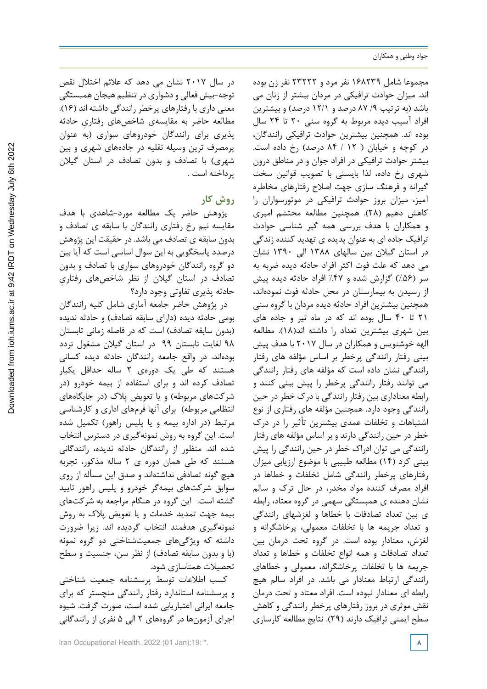مجموعا شامل 168239 نفر مرد و 23222 نفر زن بوده اند. میزان حوادث ترافیکی در مردان بیشتر از زنان می باشد (به ترتیب ۹/ ۸۷ درصد و ۱۲/۱ درصد) و بیشترین افراد آسيب ديده مربوط به گروه سنی 20 تا 24 سال بوده اند. همچنین بیشترین حوادث ترافیکی رانندگان، در کوچه و خیابان ) 12 / 84 درصد( رخ داده است. بیشتر حوادث ترافیکی در افراد جوان و در مناطق درون شهری رخ داده، لذا بایستی با تصویب قوانین سخت گیرانه و فرهنگ سازی جهت اصالح رفتارهای مخاطره آمیز، میزان بروز حوادث ترافیکی در موتورسواران را کاهش دهیم )28(. همچنین مطالعه محتشم امیری و همکاران با هدف بررسی همه گیر شناسی حوادث ترافیک جاده ای به عنوان پدیده ی تهدید کننده زندگی در استان گیالن بین سالهای 1388 الی 1390 نشان می دهد که علت فوت اکثر افراد حادثه دیده ضربه به سر (۵۶٪) گزارش شده و ۴۷٪ افراد حادثه دیده پیش از رسیدن به بیمارستان در محل حادثه فوت نمودهاند، همچنین بیشترین افراد حادثه دیده مردان با گروه سنی 21 تا 40 سال بوده اند که در ماه تیر و جاده های بین شهری بیشترین تعداد را داشته اند)18(. مطالعه الهه خوشنویس و همکاران در سال 2017 با هدف پیش بینی رفتار رانندگی پرخطر بر اساس مؤلفه های رفتار رانندگی نشان داده است که مؤلفه های رفتار رانندگی می توانند رفتار رانندگی پرخطر را پیش بینی کنند و رابطه معناداری بین رفتار رانندگی با درک خطر در حین رانندگی وجود دارد. همچنین مؤلفه های رفتاری از نوع اشتباهات و تخلفات عمدی بیشترین تأثیر را در درک خطر در حین رانندگی دارند و بر اساس مؤلفه های رفتار رانندگی می توان ادراک خطر در حین رانندگی را پیش بینی کرد )14( مطالعه طبیبی با موضوع ارزیابی میزان رفتارهاي پرخطر رانندگي شامل تخلفات و خطاها در افراد مصرف کننده مواد مخدر، در حال ترک و سالم نشان دهنده ی همبستگي سهمي در گروه معتاد، رابطه ي بین تعداد تصادفات با خطاها و لغزشهاي رانندگي و تعداد جریمه ها با تخلفات معمولي، پرخاشگرانه و لغزش، معنادار بوده است. در گروه تحت درمان بین تعداد تصادفات و همه انواع تخلفات و خطاها و تعداد جریمه ها با تخلفات پرخاشگرانه، معمولي و خطاهاي رانندگي ارتباط معنادار می باشد. در افراد سالم هیچ رابطه اي معنادار نبوده است. افراد معتاد و تحت درمان نقش موثري در بروز رفتارهاي پرخطر رانندگي و کاهش سطح ایمني ترافیک دارند )29(. نتایج مطالعه کارسازی

در سال 2017 نشان می دهد که عالئم اختالل نقص توجه-بیش فعالی و دشواری در تنظیم هیجان همبستگی معنی داری با رفتارهای پرخطر رانندگی داشته اند )16(. مطالعه حاضر به مقایسهی شاخص ِ های رفتاری حادثه پذیری برای رانندگان خودروهای سواری )به عنوان پرمصرف ترین وسیله نقلیه در جادههای شهری و بین شهری) با تصادف و بدون تصادف در استان گیلان پرداخته است .

# **روش کار**

پژوهش حاضر یک مطالعه مورد-شاهدی با هدف مقایسه نیم رخ رفتاری رانندگان با سابقه ی تصادف و بدون سابقه ی تصادف می باشد. در حقیقت این پژوهش درصدد پاسخگویی به این سوال اساسی است که آیا بین دو گروه رانندگان خودروهای سواری با تصادف و بدون تصادف در استان گیالن از نظر شاخص ِ های رفتاری حادثه پذیری تفاوتی وجود دارد؟

در پژوهش حاضر جامعه آماری شامل کلیه رانندگان بومی حادثه دیده )دارای سابقه تصادف( و حادثه ندیده (بدون سابقه تصادف) است که در فاصله زمانی تابستان 98 لغایت تابستان 99 در استان گیالن مشغول تردد بودهاند. در واقع جامعه رانندگان حادثه دیده کسانی هستند که طی یک دورهی 2 ساله حداقل یکبار تصادف کرده اند و برای استفاده از بیمه خودرو )در شرکتهای مربوطه) و یا تعویض پلاک (در جایگاههای انتظامی مربوطه) برای آنها فرمهای اداری و کارشناسی مرتبط )در اداره بیمه و یا پلیس راهور( تکمیل شده است. این گروه به روش نمونهگیری در دسترس انتخاب شده اند. منظور از رانندگان حادثه ندیده، رانندگانی هستند که طی همان دوره ی 2 ساله مذکور، تجربه هیچ گونه تصادفی نداشتهاند و صدق این مسأله از روی سوابق شرکتهای بیمهگر خودرو و پلیس راهور تایید گشته است. این گروه در هنگام مراجعه به شرکتهای بیمه جهت تمدید خدمات و یا تعویض پالک به روش نمونهگیری هدفمند انتخاب گردیده اند. زیرا ضرورت داشته که ویژگیهای جمعیتشناختی دو گروه نمونه (با و بدون سابقه تصادف) از نظر سن، جنسیت و سطح تحصیالت همتاسازی شود.

کسب اطالعات توسط پرسشنامه جمعیت شناختی و پرسشنامه استاندارد رفتار رانندگی منچستر که برای جامعه ایرانی اعتباریابی شده است، صورت گرفت. شیوه اجرای آزمونها در گروههای 2 الی 5 نفری از رانندگانی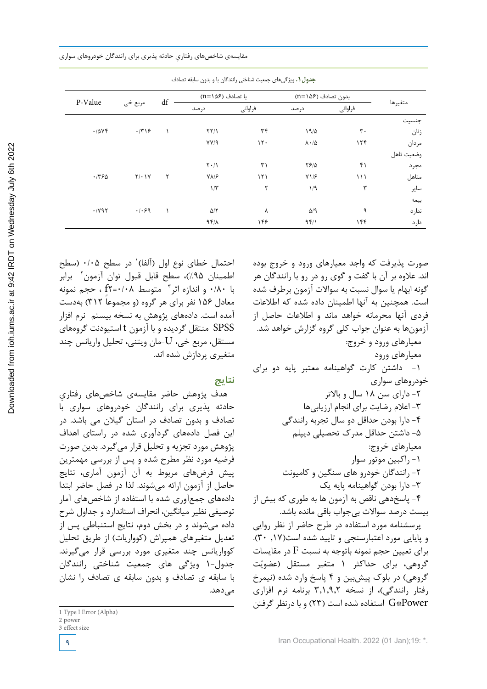|         |              |                        |                                 | جدون ۰ ، ویر نی سی جمعیت سناختی راسد تان با و بدون سابقه نصادت |                          |                |            |  |
|---------|--------------|------------------------|---------------------------------|----------------------------------------------------------------|--------------------------|----------------|------------|--|
| P-Value |              | $\mathrm{d}\mathrm{f}$ | با تصادف (۱۵۶=n)                |                                                                | بدون تصادف (۱۵۶=n)       |                |            |  |
|         | مربع خي      |                        | در صد                           | فراواني                                                        | در صد                    | فراواني        | متغيرها    |  |
|         |              |                        |                                 |                                                                |                          |                | جنسيت      |  |
| .7048   | $\cdot$ /٣١۶ |                        | $\Upsilon\Upsilon/\Upsilon$     | ٣۴                                                             | 19/2                     | $\mathbf{r}$ . | زنان       |  |
|         |              |                        | YY/9                            | 15.                                                            | $\lambda \cdot / \Delta$ | ۱۲۴            | مردان      |  |
|         |              |                        |                                 |                                                                |                          |                | وضعيت تاهل |  |
|         |              |                        | $\mathbf{Y} \cdot / \mathbf{V}$ | ٣١                                                             | $YF/\Delta$              | ۴۱             | مجرد       |  |
| .7780   | $Y/\cdot Y$  | ٢                      | $V\Lambda/F$                    | $\binom{1}{1}$                                                 | $Y\1/F$                  | ۱۱۱            | متاهل      |  |
|         |              |                        | $1/\tau$                        | ٢                                                              | 1/9                      | ٣              | ساير       |  |
|         |              |                        |                                 |                                                                |                          |                | بيمه       |  |
| .1197   | .1.99        |                        | $\Delta/\Upsilon$               | ٨                                                              | $\Delta$ /9              | ٩              | ندارد      |  |
|         |              |                        | 95/1                            | ۱۴۶                                                            | 951                      | ۱۴۴            | دارد       |  |

جدول:1 ويژگيهاي جمعيت شناختي رانندگان با و بدون سابقه تصادف **جدول.1** ویژگیهای جمعیت شناختی رانندگان با و بدون سابقه تصادف

احتمال خطای نوع اول (آلفا)' در سطح ۰/۰۵ (سطح اطمینان ۹۵٪)، سطح قابل قبول توان آزمون<sup>٬</sup> برابر 3 متوسط 0/08=2f ، حجم نمونه با 0/80 و اندازه اثر معادل ۱۵۶ نفر برای هر گروه (و مجموعاً ۳۱۲) بهدست آمده است. دادههای پژوهش به نسخه بیستم نرم افزار SPSS منتقل گردیده و با آزمون t استیودنت گروههای مستقل، مربع خی، U-مان ویتنی، تحلیل واریانس چند متغیری پردازش شده اند.

### **نتایج**

هدف پژوهش حاضر مقایسهی شاخص ِ های رفتاری حادثه پذیری برای رانندگان خودروهای سواری با تصادف و بدون تصادف در استان گیالن می باشد. در این فصل دادههای گردآوری شده در راستای اهداف پژوهش مورد تجزیه و تحلیل قرار میگیرد. بدین صورت فرضیه مورد نظر مطرح شده و پس از بررسی مهمترین پیش فرضهای مربوط به آن آزمون آماری، نتایج حاصل از آزمون ارائه میشوند. لذا در فصل حاضر ابتدا دادههای جمعآوری شده با استفاده از شاخصهای آمار توصیفی نظیر میانگین، انحراف استاندارد و جداول شرح داده میشوند و در بخش دوم، نتایج استنباطی پس از تعدیل متغیرهای همپراش (کوواریات) از طریق تحلیل کوواریانس چند متغیری مورد بررسی قرار میگیرند. جدول1- ویژگی های جمعیت شناختی رانندگان با سابقه ی تصادف و بدون سابقه ی تصادف را نشان مے دھد.

صورت پذیرفت که واجد معیارهای ورود و خروج بوده اند. عالوه بر آن با گفت و گوی رو در رو با رانندگان هر گونه ابهام یا سوال نسبت به سواالت آزمون برطرف شده است. همچنین به آنها اطمینان داده شده که اطالعات فردی آنها محرمانه خواهد ماند و اطالعات حاصل از آزمونها به عنوان جواب کلی گروه گزارش خواهد شد. معیارهای ورود و خروج: معیارهای ورود -1 داشتن کارت گواهینامه معتبر پایه دو برای خودروهای سواری -2 دارای سن 18 سال و باالتر -3 اعالم رضایت برای انجام ارزیابیها -4 دارا بودن حداقل دو سال تجربه رانندگی -5 داشتن حداقل مدرک تحصیلی دیپلم معیارهای خروج: -1 راکبین موتور سوار -2 رانندگان خودرو های سنگین و کامیونت -3 دارا بودن گواهینامه پایه یک -4 پاسخدهی ناقص به آزمون ها به طوری که بیش از بیست درصد سواالت بیجواب باقی مانده باشد. پرسشنامه مورد استفاده در طرح حاضر از نظر روایی و پایایی مورد اعتبارسنجی و تایید شده است),17 30(.

برای تعیین حجم نمونه باتوجه به نسبت F در مقایسات گروهی، برای حداکثر ۱ متغیر مستقل (عضویّت گروهی) در بلوک پیشبین و ۴ پاسخ وارد شده (نیمرخ رفتار رانندگی)، از نسخه ۳٬۱٬۹٫۲ برنامه نرم افزاری Power\*G استفاده شده است )23( و با درنظر گرفتن

<sup>1</sup> Type I Error (Alpha)

<sup>2</sup> power 3 effect size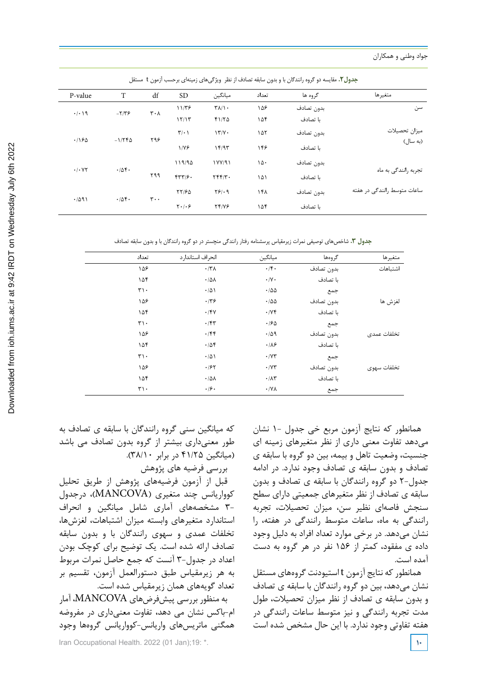|         |                       |                               |                       |                                |       | <b>جدول ۲.</b> مقایسه دو کروه رانندگان با و بدون سابقه تصادف از نظر ۖ ویژگیهای زمینهای برحسب ازمون ۲ مستقل |                             |  |
|---------|-----------------------|-------------------------------|-----------------------|--------------------------------|-------|------------------------------------------------------------------------------------------------------------|-----------------------------|--|
| P-value | T                     | df                            | <b>SD</b>             | ميانگين                        | تعداد | گروه ها                                                                                                    | متغيرها                     |  |
| .4.19   | $-\frac{1}{\sqrt{2}}$ | $\mathbf{r} \cdot \mathbf{v}$ | 1179                  | $\Upsilon \Lambda / \Lambda$ . | ۱۵۶   | بدون تصادف                                                                                                 | سن                          |  |
|         |                       |                               | 15/15                 | f1/TQ                          | ۱۵۴   | ىا تصادف                                                                                                   |                             |  |
| .190    | $-1/7F\Delta$         | ۲۹۶                           | $\mathbf{Y}/\cdot$ \  | 17/Y                           | ۱۵۲   | بدون تصادف                                                                                                 | ميزان تحصيلات               |  |
|         |                       |                               | $1/Y$ ۶               | 15/95                          | ۱۴۶   | ىا تصادف                                                                                                   | (به سال)                    |  |
| .1.47   | .708.                 |                               | 119/90                | 1YY/91                         | ۱۵۰   | بدون تصادف                                                                                                 |                             |  |
|         |                       | ۲۹۹                           | FT79.                 | $YYY/Y$ .                      | ۱۵۱   | ىا تصادف                                                                                                   | تجربه رانندگی به ماه        |  |
| .7091   | .708.                 | $\mathbf{r} \cdot \mathbf{r}$ | 77/90                 | Y5/19                          | ۱۴۸   | بدون تصادف                                                                                                 | ساعات متوسط رانندگی در هفته |  |
|         |                       |                               | $Y \cdot \mathcal{F}$ | <b>TF/VF</b>                   | ۱۵۴   | ىا تصادف                                                                                                   |                             |  |

جدول.2 مقايسه دو گروه رانندگان با و بدون سابقه تصادف از نظر ويژگيهاي زمينهاي برحسب آزمون t مستقل **جدول.2** مقایسه دو گروه رانندگان با و بدون سابقه تصادف از نظر ویژگیهای زمینهای برحسب آزمون t مستقل

**جدول ۳.** شاخصهای توصیفی نمرات زیرمقیاس پرسشنامه رفتار رانندگی منچستر در دو گروه رانندگان با و بدون سابقه تصادف

| متغيرها     | گروەھا     | ميانگين                     | انحراف استاندار د     | تعداد                       |
|-------------|------------|-----------------------------|-----------------------|-----------------------------|
| اشتباهات    | بدون تصادف | $\cdot$ /۴.                 | $\cdot$ /٣٨           | ۱۵۶                         |
|             | ىا تصادف   | $\cdot/\Upsilon$ .          | $\cdot/\Delta\lambda$ | ۱۵۴                         |
|             | جمع        | $\cdot$ /00                 | .701                  | $\mathbf{r}\cdot$           |
| لغزش ها     | بدون تصادف | $\cdot$ /00                 | .779                  | ۱۵۶                         |
|             | ىا تصادف   | $\cdot$ / $\vee$ $\uparrow$ | .79V                  | ۱۵۴                         |
|             | جمع        | .180                        | .75                   | $\mathbf{r}\cdot$           |
| تخلفات عمدى | بدون تصادف | .409                        | .75                   | ۱۵۶                         |
|             | ىا تصادف   | $\cdot/\lambda$ ۶           | .708                  | ۱۵۴                         |
|             | جمع        | $\cdot$ / $\vee\tau$        | $\cdot/\Delta$        | $\mathsf{r}\mathsf{R}\cdot$ |
| تخلفات سهوى | بدون تصادف | $\cdot$ / $\vee\tau$        | .187                  | ۱۵۶                         |
|             | ىا تصادف   | $\cdot/\lambda\tau$         | $\cdot/\Delta\lambda$ | ۱۵۴                         |
|             | جمع        | $\cdot$ /YA                 | $\cdot$ /۶ $\cdot$    | $\mathsf{r}\mathsf{R}\cdot$ |

که میانگین سنی گروه رانندگان با سابقه ی تصادف به طور معنیداری بیشتر از گروه بدون تصادف می باشد )میانگین 41/25 در برابر 38/10(.

بررسی فرضیه های پژوهش

قبل از آزمون فرضیههای پژوهش از طریق تحلیل کوواریانس چند متغیری )MANCOVA)، درجدول 3- مشخصههای آماری شامل میانگین و انحراف استاندارد متغیرهای وابسته میزان اشتباهات، لغزشها، تخلفات عمدی و سهوی رانندگان با و بدون سابقه تصادف ارائه شده است. یک توضیح برای کوچک بودن اعداد در جدول-۳ آنست که جمع حاصل نمرات مربوط به هر زیرمقیاس طبق دستورالعمل آزمون، تقسیم بر تعداد گویههای همان زیرمقیاس شده است. به منظور بررسی پیشفرضهای MANCOVA، آمار ام-باکس نشان می دهد، تفاوت معنیداری در مفروضه همگنی ماتریسهای واریانس-کوواریانس گروهها وجود

همانطور که نتایج آزمون مربع خی جدول 1- نشان میدهد تفاوت معنی داری از نظر متغیرهای زمینه ای جنسیت، وضعیت تاهل و بیمه، بین دو گروه با سابقه ی تصادف و بدون سابقه ی تصادف وجود ندارد. در ادامه جدول2- دو گروه رانندگان با سابقه ی تصادف و بدون سابقه ی تصادف از نظر متغیرهای جمعیتی دارای سطح سنجش فاصهای نظیر سن، میزان تحصیالت، تجربه رانندگی به ماه، ساعات متوسط رانندگی در هفته، را نشان میدهد. در برخی موارد تعداد افراد به دلیل وجود داده ی مفقود، کمتر از 156 نفر در هر گروه به دست آمده است.

همانطور که نتایج آزمون t استیودنت گروههای مستقل نشان میدهد، بین دو گروه رانندگان با سابقه ی تصادف و بدون سابقه ی تصادف از نظر میزان تحصیالت، طول مدت تجربه رانندگی و نیز متوسط ساعات رانندگی در هفته تفاوتی وجود ندارد. با این حال مشخص شده است

Iran Occupational Health. 2022 (01 Jan);19: \*. **10**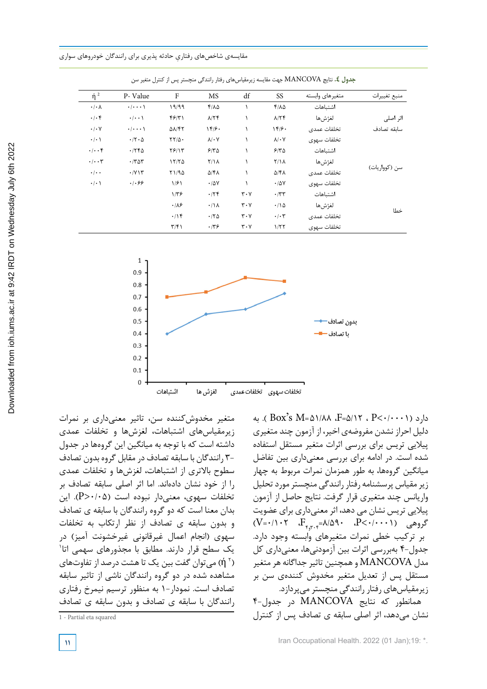| منبع تغييرات  | متغيرهاى وابسته | SS                       | df                            | MS                   | F                                | P-Value                     | $\eta^2$                  |
|---------------|-----------------|--------------------------|-------------------------------|----------------------|----------------------------------|-----------------------------|---------------------------|
|               | اشتىاھات        | $f/\lambda \Delta$       |                               | $Y/\lambda\Delta$    | 19/99                            | $\cdot$ / $\cdot$ $\cdot$ \ | $\cdot/\cdot \wedge$      |
| اثر اصلی      | لغژشها          | $\lambda/\Upsilon f$     |                               | $\lambda/\Upsilon f$ | $f$ $f$ $\gamma$                 | $\cdot/\cdot\cdot$          | $\cdot/\cdot$ ۴           |
| ساىقە تصادف   | تخلفات عمدى     | 189.                     |                               | 15.6                 | $\Delta\lambda/\Upsilon\Upsilon$ | $\cdot/\cdot\cdot\cdot$     | $\cdot/\cdot$ Y           |
|               | تخلفات سهوى     | $\lambda/\cdot$ Y        |                               | $\lambda/\cdot$ Y    | $\tau\tau/\Delta$ .              | $\cdot$ /۲ $\cdot$ $\Delta$ | $\cdot/\cdot$ )           |
|               | اشتىاھات        | 510                      |                               | 510                  | $Y$ $Y$                          | .756                        | $\cdot/\cdot\cdot$ ۴      |
|               | الغژش ها        | $Y/\lambda$              |                               | $Y/\lambda$          | 17/70                            | $\cdot$ /۳۵۳                | $\cdot$ / $\cdot$ $\tau$  |
| سن (کوواریات) | تخلفات عمدى     | $\Delta$ /۴۸             |                               | $\Delta$ /۴۸         | Y1/90                            | $\cdot$ / $\vee$ $\vee$     | $\cdot$ / $\cdot$ $\cdot$ |
|               | تخلفات سهوى     | .78V                     |                               | $\cdot$ / $\Delta V$ | 1/91                             | .1.89                       | $\cdot$ / $\cdot$ \       |
| خطا           | اشتىاھات        | $\cdot$ /٣٣              | $\mathbf{r} \cdot \mathbf{v}$ | .75                  | $1/\tau$ ۶                       |                             |                           |
|               | الغژش ها        | .70                      | $\mathbf{r} \cdot \mathbf{v}$ | $\cdot/\lambda$      | .18                              |                             |                           |
|               | تخلفات عمدى     | $\cdot$ / $\cdot$ $\tau$ | $\mathbf{r} \cdot \mathbf{v}$ | .70                  | .19                              |                             |                           |
|               | تخلفات سهوى     | 1/57                     | $\mathbf{r} \cdot \mathbf{v}$ | .779                 | $\tau/\tau$                      |                             |                           |

جدول .4 نتايج MANCOVA جهت مقايسه زيرمقياسهاي رفتار رانندگي منچستر پس از كنترل متغير سن **جدول .4** نتایج MANCOVA جهت مقایسه زیرمقیاسهای رفتار رانندگی منچستر پس از کنترل متغیر سن



متغیر مخدوشکننده سن، تاثیر معنیداری بر نمرات زیرمقیاسهای اشتباهات، لغزشها و تخلفات عمدی داشته است که با توجه به میانگین این گروهها در جدول 3- رانندگان با سابقه تصادف در مقابل گروه بدون تصادف سطوح باالتری از اشتباهات، لغزشها و تخلفات عمدی را از خود نشان دادهاند. اما اثر اصلی سابقه تصادف بر تخلفات سهوی، معنی دار نبوده است (۵۰/۰۵-<P). این بدان معنا است که دو گروه رانندگان با سابقه ی تصادف و بدون سابقه ی تصادف از نظر ارتکاب به تخلفات سهوی (انجام اعمال غیرقانونی غیرخشونت آمیز) در 1 یک سطح قرار دارند. مطابق با مجذورهای سهمی اتا 2 ή )میتوان گفت بین یک تا هشت درصد از تفاوتهای ( مشاهده شده در دو گروه رانندگان ناشی از تاثیر سابقه تصادف است. نمودار1- به منظور ترسیم نیمرخ رفتاری رانندگان با سابقه ی تصادف و بدون سابقه ی تصادف

به (Box's  $M = \Delta 1/A$ ، F= $\Delta/17$  ، P< $\cdot/ \cdot \cdot$  ). به دلیل احراز نشدن مفروضهی اخیر، از آزمون چند متغیری پیالیی تریس برای بررسی اثرات متغیر مستقل استفاده شده است. در ادامه برای بررسی معنیداری بین تفاضل میانگین گروهها، به طور همزمان نمرات مربوط به چهار زیر مقیاس پرسشنامه رفتار رانندگی منچستر مورد تحلیل واریانس چند متغیری قرار گرفت. نتایج حاصل از آزمون پیالیی تریس نشان می دهد، اثر معنیداری برای عضویت  $(V=0) \cdot V = \frac{F_{\epsilon,\tau,\tau}}{F_{\epsilon,\tau,\tau}} = \frac{\lambda}{\Delta} \cdot \frac{P}{\epsilon} \cdot (1-\epsilon)$ گروهی بر ترکیب خطی نمرات متغیرهای وابسته وجود دارد. جدول4- بهبررسی اثرات بین آزمودنیها، معنیداری کل مدل MANCOVA و همچنین تاثیر جداگانه هر متغیر مستقل پس از تعدیل متغیر مخدوش کنندهی سن بر زیرمقیاسهای رفتار رانندگی منچستر میپردازد. همانطور که نتایج MANCOVA در جدول4- نشان میدهد، اثر اصلی سابقه ی تصادف پس از کنترل

<sup>1</sup> - Partial eta squared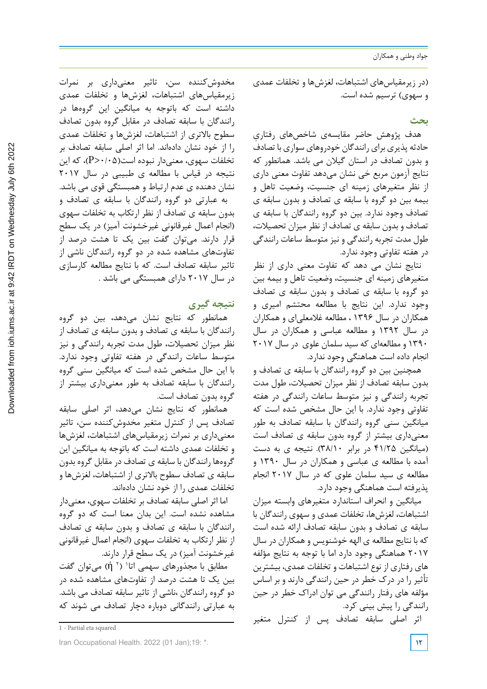جواد وطنی و همکاران

)در زیرمقیاسهای اشتباهات، لغزشها و تخلفات عمدی و سهوی) ترسیم شده است.

## **بحث**

هدف پژوهش حاضر مقایسهی شاخص ِ های رفتاری حادثه پذیری برای رانندگان خودروهای سواری با تصادف و بدون تصادف در استان گیالن می باشد. همانطور که نتایج آزمون مربع خی نشان میدهد تفاوت معنی داری از نظر متغیرهای زمینه ای جنسیت، وضعیت تاهل و بیمه بین دو گروه با سابقه ی تصادف و بدون سابقه ی تصادف وجود ندارد. بین دو گروه رانندگان با سابقه ی تصادف و بدون سابقه ی تصادف از نظر میزان تحصیالت، طول مدت تجربه رانندگی و نیز متوسط ساعات رانندگی در هفته تفاوتی وجود ندارد.

نتایج نشان می دهد که تفاوت معنی داری از نظر متغیرهای زمینه ای جنسیت، وضعیت تاهل و بیمه بین دو گروه با سابقه ی تصادف و بدون سابقه ی تصادف وجود ندارد. این نتایج با مطالعه محتشم امیری و همکاران در سال 1396 ، مطالعه غالمعلیای و همکاران در سال 1392 و مطالعه عباسی و همکاران در سال 1390 و مطالعهای که سید سلمان علوی در سال 2017 انجام داده است هماهنگی وجود ندارد.

همچنین بین دو گروه رانندگان با سابقه ی تصادف و بدون سابقه تصادف از نظر میزان تحصیالت، طول مدت تجربه رانندگی و نیز متوسط ساعات رانندگی در هفته تفاوتی وجود ندارد. با این حال مشخص شده است که میانگین سنی گروه رانندگان با سابقه تصادف به طور معنیداری بیشتر از گروه بدون سابقه ی تصادف است )میانگین 41/25 در برابر 38/10(. نتیجه ی به دست آمده با مطالعه ی عباسی و همکاران در سال 1390 و مطالعه ی سید سلمان علوی که در سال 2017 انجام پذیرفته است هماهنگی وجود دارد.

میانگین و انحراف استاندارد متغیرهای وابسته میزان اشتباهات، لغزشها، تخلفات عمدی و سهوی رانندگان با سابقه ی تصادف و بدون سابقه تصادف ارائه شده است که با نتایج مطالعه ی الهه خوشنویس و همکاران در سال 2017 هماهنگی وجود دارد اما با توجه به نتایج مؤلفه های رفتاری از نوع اشتباهات و تخلفات عمدی، بیشترین تأثیر را در درک خطر در حین رانندگی دارند و بر اساس مؤلفه های رفتار رانندگی می توان ادراک خطر در حین رانندگی را پیش بینی کرد.

اثر اصلی سابقه تصادف پس از کنترل متغیر

مخدوشکننده سن، تاثیر معنیداری بر نمرات زیرمقیاسهای اشتباهات، لغزشها و تخلفات عمدی داشته است که باتوجه به میانگین این گروهها در رانندگان با سابقه تصادف در مقابل گروه بدون تصادف سطوح باالتری از اشتباهات، لغزشها و تخلفات عمدی را از خود نشان دادهاند. اما اثر اصلی سابقه تصادف بر تخلفات سهوی، معنیدار نبوده است)0/05>P)، که این نتیجه در قیاس با مطالعه ی طبیبی در سال 2017 نشان دهنده ی عدم ارتباط و همبستگی قوی می باشد. به عبارتی دو گروه رانندگان با سابقه ی تصادف و بدون سابقه ی تصادف از نظر ارتکاب به تخلفات سهوی )انجام اعمال غیرقانونی غیرخشونت آمیز( در یک سطح قرار دارند. میتوان گفت بین یک تا هشت درصد از تفاوتهای مشاهده شده در دو گروه رانندگان ناشی از تاثیر سابقه تصادف است. که با نتایج مطالعه کارسازی در سال 2017 دارای همبستگی می باشد .

# **نتیجه گیری**

همانطور که نتایج نشان میدهد، بین دو گروه رانندگان با سابقه ی تصادف و بدون سابقه ی تصادف از نظر میزان تحصیالت، طول مدت تجربه رانندگی و نیز متوسط ساعات رانندگی در هفته تفاوتی وجود ندارد. با این حال مشخص شده است که میانگین سنی گروه رانندگان با سابقه تصادف به طور معنیداری بیشتر از گروه بدون تصادف است.

همانطور که نتایج نشان میدهد، اثر اصلی سابقه تصادف پس از کنترل متغیر مخدوشکننده سن، تاثیر معنیداری بر نمرات زیرمقیاسهای اشتباهات، لغزشها و تخلفات عمدی داشته است که باتوجه به میانگین این گروهها رانندگان با سابقه ی تصادف در مقابل گروه بدون سابقه ی تصادف سطوح باالتری از اشتباهات، لغزشها و تخلفات عمدی را از خود نشان دادهاند.

اما اثر اصلی سابقه تصادف بر تخلفات سهوی، معنیدار مشاهده نشده است. این بدان معنا است که دو گروه رانندگان با سابقه ی تصادف و بدون سابقه ی تصادف از نظر ارتکاب به تخلفات سهوی )انجام اعمال غیرقانونی غیر خشونت آمیز) در یک سطح قرار دارند.

مطابق با مجذورهای سهمی اتا<sup>۰</sup> (۲ أ) میتوان گفت بین یک تا هشت درصد از تفاوتهای مشاهده شده در دو گروه رانندگان ،ناشی از تاثیر سابقه تصادف می باشد. به عبارتی رانندگانی دوباره دچار تصادف می شوند که

<sup>1</sup> - Partial eta squared

Iran Occupational Health. 2022 (01 Jan);19: \*. **12**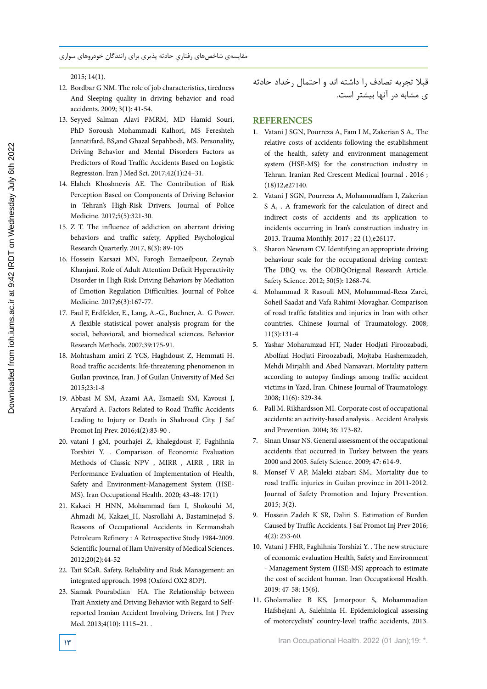2015; 14(1).

- 12. Bordbar G NM. The role of job characteristics, tiredness And Sleeping quality in driving behavior and road accidents. 2009; 3(1): 41-54.
- 13. Seyyed Salman Alavi PMRM, MD Hamid Souri, PhD Soroush Mohammadi Kalhori, MS Fereshteh Jannatifard, BS,and Ghazal Sepahbodi, MS. Personality, Driving Behavior and Mental Disorders Factors as Predictors of Road Traffic Accidents Based on Logistic Regression. Iran J Med Sci. 2017;42(1):24–31.
- 14. Elaheh Khoshnevis AE. The Contribution of Risk Perception Based on Components of Driving Behavior in Tehran's High-Risk Drivers. Journal of Police Medicine. 2017;5(5):321-30.
- 15. Z T. The influence of addiction on aberrant driving behaviors and traffic safety, Applied Psychological Research Quarterly. 2017, 8(3): 89-105
- 16. Hossein Karsazi MN, Farogh Esmaeilpour, Zeynab Khanjani. Role of Adult Attention Deficit Hyperactivity Disorder in High Risk Driving Behaviors by Mediation of Emotion Regulation Difficulties. Journal of Police Medicine. 2017;6(3):167-77.
- 17. Faul F, Erdfelder, E., Lang, A.-G., Buchner, A. G Power. A flexible statistical power analysis program for the social, behavioral, and biomedical sciences. Behavior Research Methods. 2007;39:175-91.
- 18. Mohtasham amiri Z YCS, Haghdoust Z, Hemmati H. Road traffic accidents: life-threatening phenomenon in Guilan province, Iran. J of Guilan University of Med Sci 2015;23:1-8
- 19. Abbasi M SM, Azami AA, Esmaeili SM, Kavousi J, Aryafard A. Factors Related to Road Traffic Accidents Leading to Injury or Death in Shahroud City. J Saf Promot Inj Prev. 2016;4(2):83-90 .
- 20. vatani J gM, pourhajei Z, khalegdoust F, Faghihnia Torshizi Y. . Comparison of Economic Evaluation Methods of Classic NPV , MIRR , AIRR , IRR in Performance Evaluation of Implementation of Health, Safety and Environment-Management System (HSE-MS). Iran Occupational Health. 2020; 43-48: 17(1)
- 21. Kakaei H HNN, Mohammad fam I, Shokouhi M, Ahmadi M, Kakaei\_H, Nasrollahi A, Bastaminejad S. Reasons of Occupational Accidents in Kermanshah Petroleum Refinery : A Retrospective Study 1984-2009. Scientific Journal of Ilam University of Medical Sciences. 2012;20(2):44-52
- 22. Tait SCaR. Safety, Reliability and Risk Management: an integrated approach. 1998 (Oxford OX2 8DP).
- 23. Siamak Pourabdian HA. The Relationship between Trait Anxiety and Driving Behavior with Regard to Selfreported Iranian Accident Involving Drivers. Int J Prev Med. 2013;4(10): 1115–21. .

قبال تجربه تصادف را داشته اند و احتمال رخداد حادثه ی مشابه در آنها بیشتر است.

### **REFERENCES**

- 1. Vatani J SGN, Pourreza A, Fam I M, Zakerian S A,. The relative costs of accidents following the establishment of the health, safety and environment management system (HSE-MS) for the construction industry in Tehran. Iranian Red Crescent Medical Journal . 2016 ; (18)12,e27140.
- 2. Vatani J SGN, Pourreza A, Mohammadfam I, Zakerian S A, . A framework for the calculation of direct and indirect costs of accidents and its application to incidents occurring in Iran's construction industry in 2013. Trauma Monthly. 2017 ; 22 (1),e26117.
- 3. Sharon Newnam CV. Identifying an appropriate driving behaviour scale for the occupational driving context: The DBQ vs. the ODBQOriginal Research Article. Safety Science. 2012; 50(5): 1268-74.
- 4. Mohammad R Rasouli MN, Mohammad-Reza Zarei, Soheil Saadat and Vafa Rahimi-Movaghar. Comparison of road traffic fatalities and injuries in Iran with other countries. Chinese Journal of Traumatology. 2008; 11(3):131-4
- 5. Yashar Moharamzad HT, Nader Hodjati Firoozabadi, Abolfazl Hodjati Firoozabadi, Mojtaba Hashemzadeh, Mehdi Mirjalili and Abed Namavari. Mortality pattern according to autopsy findings among traffic accident victims in Yazd, Iran. Chinese Journal of Traumatology. 2008; 11(6): 329-34.
- 6. Pall M. Rikhardsson MI. Corporate cost of occupational accidents: an activity-based analysis. . Accident Analysis and Prevention. 2004; 36: 173-82.
- 7. Sinan Unsar NS. General assessment of the occupational accidents that occurred in Turkey between the years 2000 and 2005. Safety Science. 2009; 47: 614-9.
- 8. Monsef V AP, Maleki ziabari SM,. Mortality due to road traffic injuries in Guilan province in 2011-2012. Journal of Safety Promotion and Injury Prevention. 2015; 3(2).
- 9. Hossein Zadeh K SR, Daliri S. Estimation of Burden Caused by Traffic Accidents. J Saf Promot Inj Prev 2016; 4(2): 253-60.
- 10. Vatani J FHR, Faghihnia Torshizi Y. . The new structure of economic evaluation Health, Safety and Environment - Management System (HSE-MS) approach to estimate the cost of accident human. Iran Occupational Health. 2019: 47-58: 15(6).
- 11. Gholamaliee B KS, Jamorpour S, Mohammadian Hafshejani A, Salehinia H. Epidemiological assessing of motorcyclists' country-level traffic accidents, 2013.